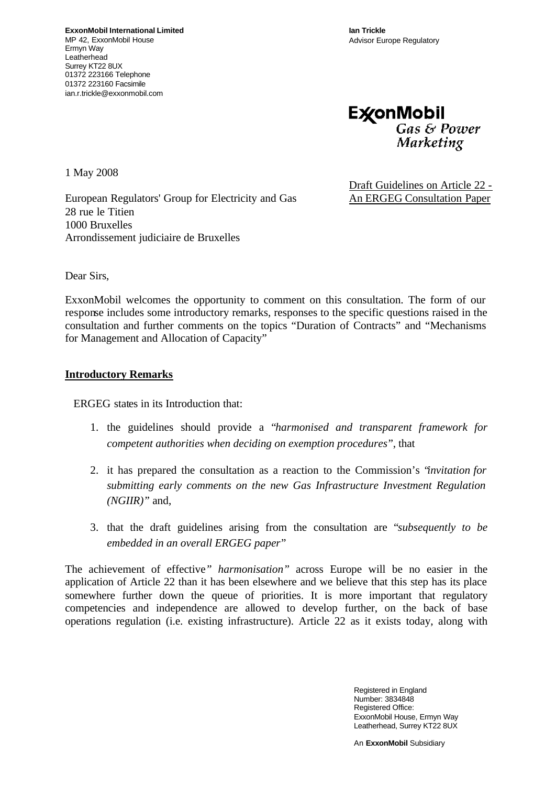**Ian Trickle** Advisor Europe Regulatory



1 May 2008

European Regulators' Group for Electricity and Gas 28 rue le Titien 1000 Bruxelles Arrondissement judiciaire de Bruxelles

Draft Guidelines on Article 22 - An ERGEG Consultation Paper

Dear Sirs,

ExxonMobil welcomes the opportunity to comment on this consultation. The form of our response includes some introductory remarks, responses to the specific questions raised in the consultation and further comments on the topics "Duration of Contracts" and "Mechanisms for Management and Allocation of Capacity"

#### **Introductory Remarks**

ERGEG states in its Introduction that:

- 1. the guidelines should provide a "*harmonised and transparent framework for competent authorities when deciding on exemption procedures*", that
- 2. it has prepared the consultation as a reaction to the Commission's "*invitation for submitting early comments on the new Gas Infrastructure Investment Regulation (NGIIR)"* and,
- 3. that the draft guidelines arising from the consultation are "*subsequently to be embedded in an overall ERGEG paper*"

The achievement of effective*" harmonisation"* across Europe will be no easier in the application of Article 22 than it has been elsewhere and we believe that this step has its place somewhere further down the queue of priorities. It is more important that regulatory competencies and independence are allowed to develop further, on the back of base operations regulation (i.e. existing infrastructure). Article 22 as it exists today, along with

> Registered in England Number: 3834848 Registered Office: ExxonMobil House, Ermyn Way Leatherhead, Surrey KT22 8UX

An **ExxonMobil** Subsidiary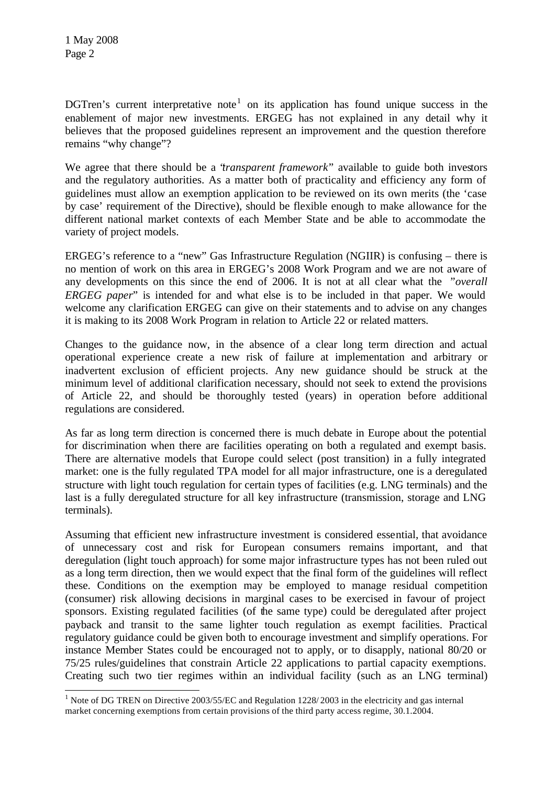l

DGTren's current interpretative note<sup>1</sup> on its application has found unique success in the enablement of major new investments. ERGEG has not explained in any detail why it believes that the proposed guidelines represent an improvement and the question therefore remains "why change"?

We agree that there should be a "*transparent framework*" available to guide both investors and the regulatory authorities. As a matter both of practicality and efficiency any form of guidelines must allow an exemption application to be reviewed on its own merits (the 'case by case' requirement of the Directive), should be flexible enough to make allowance for the different national market contexts of each Member State and be able to accommodate the variety of project models.

ERGEG's reference to a "new" Gas Infrastructure Regulation (NGIIR) is confusing – there is no mention of work on this area in ERGEG's 2008 Work Program and we are not aware of any developments on this since the end of 2006. It is not at all clear what the *"overall ERGEG paper*" is intended for and what else is to be included in that paper. We would welcome any clarification ERGEG can give on their statements and to advise on any changes it is making to its 2008 Work Program in relation to Article 22 or related matters.

Changes to the guidance now, in the absence of a clear long term direction and actual operational experience create a new risk of failure at implementation and arbitrary or inadvertent exclusion of efficient projects. Any new guidance should be struck at the minimum level of additional clarification necessary, should not seek to extend the provisions of Article 22, and should be thoroughly tested (years) in operation before additional regulations are considered.

As far as long term direction is concerned there is much debate in Europe about the potential for discrimination when there are facilities operating on both a regulated and exempt basis. There are alternative models that Europe could select (post transition) in a fully integrated market: one is the fully regulated TPA model for all major infrastructure, one is a deregulated structure with light touch regulation for certain types of facilities (e.g. LNG terminals) and the last is a fully deregulated structure for all key infrastructure (transmission, storage and LNG terminals).

Assuming that efficient new infrastructure investment is considered essential, that avoidance of unnecessary cost and risk for European consumers remains important, and that deregulation (light touch approach) for some major infrastructure types has not been ruled out as a long term direction, then we would expect that the final form of the guidelines will reflect these. Conditions on the exemption may be employed to manage residual competition (consumer) risk allowing decisions in marginal cases to be exercised in favour of project sponsors. Existing regulated facilities (of the same type) could be deregulated after project payback and transit to the same lighter touch regulation as exempt facilities. Practical regulatory guidance could be given both to encourage investment and simplify operations. For instance Member States could be encouraged not to apply, or to disapply, national 80/20 or 75/25 rules/guidelines that constrain Article 22 applications to partial capacity exemptions. Creating such two tier regimes within an individual facility (such as an LNG terminal)

<sup>&</sup>lt;sup>1</sup> Note of DG TREN on Directive 2003/55/EC and Regulation 1228/2003 in the electricity and gas internal market concerning exemptions from certain provisions of the third party access regime, 30.1.2004.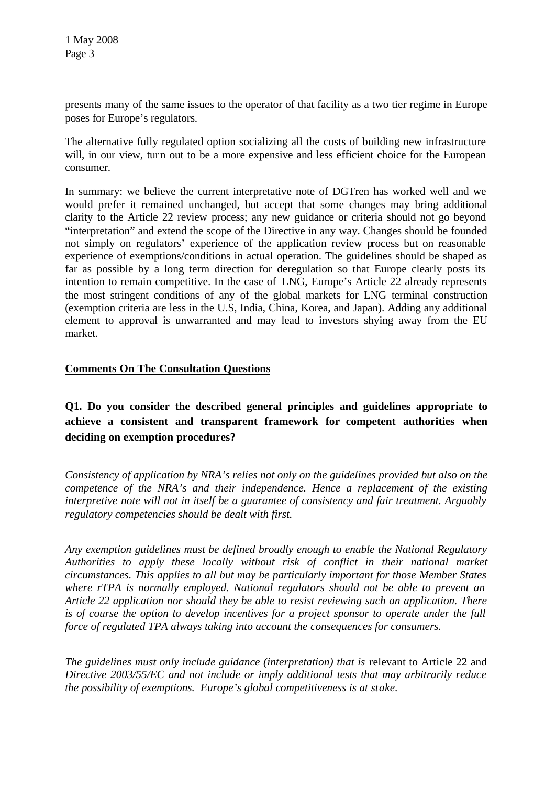presents many of the same issues to the operator of that facility as a two tier regime in Europe poses for Europe's regulators.

The alternative fully regulated option socializing all the costs of building new infrastructure will, in our view, turn out to be a more expensive and less efficient choice for the European consumer.

In summary: we believe the current interpretative note of DGTren has worked well and we would prefer it remained unchanged, but accept that some changes may bring additional clarity to the Article 22 review process; any new guidance or criteria should not go beyond "interpretation" and extend the scope of the Directive in any way. Changes should be founded not simply on regulators' experience of the application review process but on reasonable experience of exemptions/conditions in actual operation. The guidelines should be shaped as far as possible by a long term direction for deregulation so that Europe clearly posts its intention to remain competitive. In the case of LNG, Europe's Article 22 already represents the most stringent conditions of any of the global markets for LNG terminal construction (exemption criteria are less in the U.S, India, China, Korea, and Japan). Adding any additional element to approval is unwarranted and may lead to investors shying away from the EU market.

# **Comments On The Consultation Questions**

# **Q1. Do you consider the described general principles and guidelines appropriate to achieve a consistent and transparent framework for competent authorities when deciding on exemption procedures?**

*Consistency of application by NRA's relies not only on the guidelines provided but also on the competence of the NRA's and their independence. Hence a replacement of the existing interpretive note will not in itself be a guarantee of consistency and fair treatment. Arguably regulatory competencies should be dealt with first.* 

*Any exemption guidelines must be defined broadly enough to enable the National Regulatory Authorities to apply these locally without risk of conflict in their national market circumstances. This applies to all but may be particularly important for those Member States where rTPA is normally employed. National regulators should not be able to prevent an Article 22 application nor should they be able to resist reviewing such an application. There is of course the option to develop incentives for a project sponsor to operate under the full force of regulated TPA always taking into account the consequences for consumers.* 

*The guidelines must only include guidance (interpretation) that is relevant to Article 22 and Directive 2003/55/EC and not include or imply additional tests that may arbitrarily reduce the possibility of exemptions. Europe's global competitiveness is at stake.*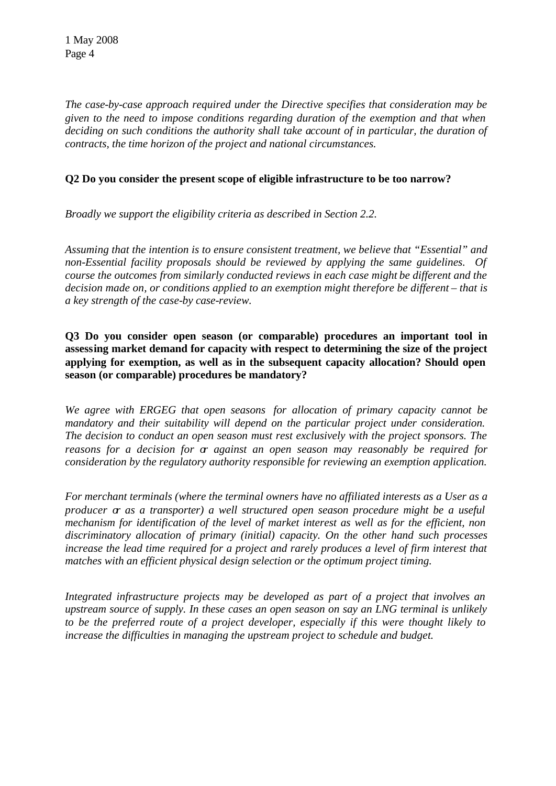*The case-by-case approach required under the Directive specifies that consideration may be given to the need to impose conditions regarding duration of the exemption and that when deciding on such conditions the authority shall take account of in particular, the duration of contracts, the time horizon of the project and national circumstances.* 

## **Q2 Do you consider the present scope of eligible infrastructure to be too narrow?**

*Broadly we support the eligibility criteria as described in Section 2.2.* 

*Assuming that the intention is to ensure consistent treatment, we believe that "Essential" and non-Essential facility proposals should be reviewed by applying the same guidelines. Of course the outcomes from similarly conducted reviews in each case might be different and the decision made on, or conditions applied to an exemption might therefore be different – that is a key strength of the case-by case-review.* 

**Q3 Do you consider open season (or comparable) procedures an important tool in assessing market demand for capacity with respect to determining the size of the project applying for exemption, as well as in the subsequent capacity allocation? Should open season (or comparable) procedures be mandatory?** 

*We agree with ERGEG that open seasons for allocation of primary capacity cannot be mandatory and their suitability will depend on the particular project under consideration. The decision to conduct an open season must rest exclusively with the project sponsors. The reasons for a decision for or against an open season may reasonably be required for consideration by the regulatory authority responsible for reviewing an exemption application.* 

*For merchant terminals (where the terminal owners have no affiliated interests as a User as a producer or as a transporter) a well structured open season procedure might be a useful mechanism for identification of the level of market interest as well as for the efficient, non discriminatory allocation of primary (initial) capacity. On the other hand such processes increase the lead time required for a project and rarely produces a level of firm interest that matches with an efficient physical design selection or the optimum project timing.* 

*Integrated infrastructure projects may be developed as part of a project that involves an upstream source of supply. In these cases an open season on say an LNG terminal is unlikely to be the preferred route of a project developer, especially if this were thought likely to increase the difficulties in managing the upstream project to schedule and budget.*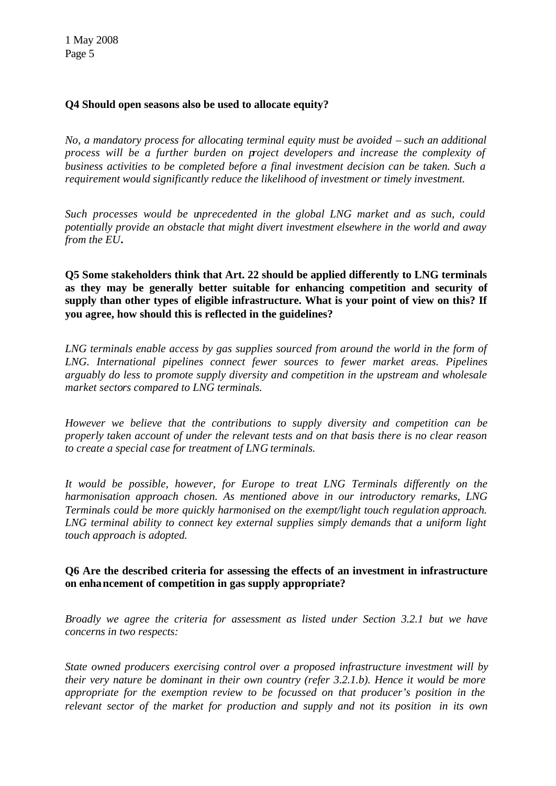## **Q4 Should open seasons also be used to allocate equity?**

*No, a mandatory process for allocating terminal equity must be avoided – such an additional process will be a further burden on project developers and increase the complexity of business activities to be completed before a final investment decision can be taken. Such a requirement would significantly reduce the likelihood of investment or timely investment.*

*Such processes would be unprecedented in the global LNG market and as such, could potentially provide an obstacle that might divert investment elsewhere in the world and away from the EU.* 

**Q5 Some stakeholders think that Art. 22 should be applied differently to LNG terminals as they may be generally better suitable for enhancing competition and security of supply than other types of eligible infrastructure. What is your point of view on this? If you agree, how should this is reflected in the guidelines?** 

LNG terminals enable access by gas supplies sourced from around the world in the form of *LNG. International pipelines connect fewer sources to fewer market areas. Pipelines arguably do less to promote supply diversity and competition in the upstream and wholesale market sectors compared to LNG terminals.* 

*However we believe that the contributions to supply diversity and competition can be properly taken account of under the relevant tests and on that basis there is no clear reason to create a special case for treatment of LNG terminals.*

*It would be possible, however, for Europe to treat LNG Terminals differently on the harmonisation approach chosen. As mentioned above in our introductory remarks, LNG Terminals could be more quickly harmonised on the exempt/light touch regulation approach. LNG terminal ability to connect key external supplies simply demands that a uniform light touch approach is adopted.* 

#### **Q6 Are the described criteria for assessing the effects of an investment in infrastructure on enhancement of competition in gas supply appropriate?**

*Broadly we agree the criteria for assessment as listed under Section 3.2.1 but we have concerns in two respects:* 

*State owned producers exercising control over a proposed infrastructure investment will by their very nature be dominant in their own country (refer 3.2.1.b). Hence it would be more appropriate for the exemption review to be focussed on that producer's position in the relevant sector of the market for production and supply and not its position in its own*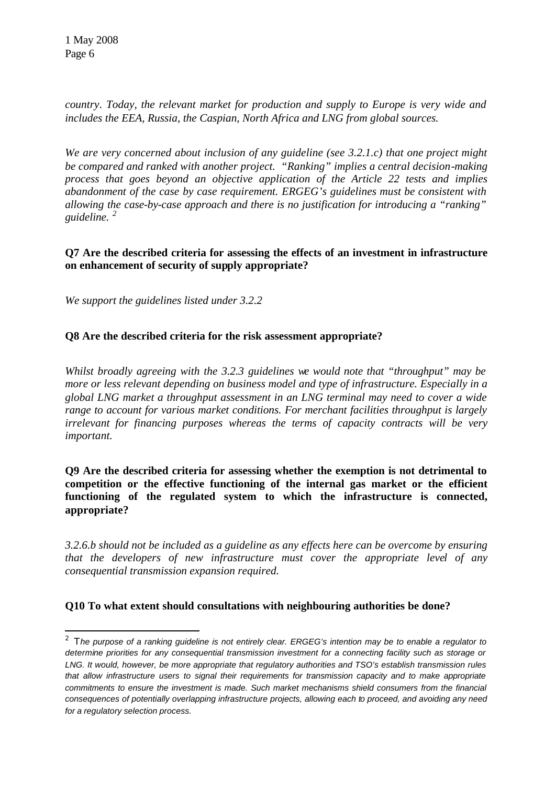l

*country*. *Today, the relevant market for production and supply to Europe is very wide and includes the EEA, Russia, the Caspian, North Africa and LNG from global sources.* 

*We are very concerned about inclusion of any guideline (see 3.2.1.c) that one project might be compared and ranked with another project. "Ranking" implies a central decision-making process that goes beyond an objective application of the Article 22 tests and implies abandonment of the case by case requirement. ERGEG's guidelines must be consistent with allowing the case-by-case approach and there is no justification for introducing a "ranking" guideline. <sup>2</sup>*

## **Q7 Are the described criteria for assessing the effects of an investment in infrastructure on enhancement of security of supply appropriate?**

*We support the guidelines listed under 3.2.2*

#### **Q8 Are the described criteria for the risk assessment appropriate?**

*Whilst broadly agreeing with the 3.2.3 guidelines we would note that "throughput" may be more or less relevant depending on business model and type of infrastructure. Especially in a global LNG market a throughput assessment in an LNG terminal may need to cover a wide range to account for various market conditions. For merchant facilities throughput is largely irrelevant for financing purposes whereas the terms of capacity contracts will be very important.* 

**Q9 Are the described criteria for assessing whether the exemption is not detrimental to competition or the effective functioning of the internal gas market or the efficient functioning of the regulated system to which the infrastructure is connected, appropriate?**

*3.2.6.b should not be included as a guideline as any effects here can be overcome by ensuring that the developers of new infrastructure must cover the appropriate level of any consequential transmission expansion required.* 

# **Q10 To what extent should consultations with neighbouring authorities be done?**

<sup>2</sup> T*he purpose of a ranking guideline is not entirely clear. ERGEG's intention may be to enable a regulator to determine priorities for any consequential transmission investment for a connecting facility such as storage or LNG. It would, however, be more appropriate that regulatory authorities and TSO's establish transmission rules that allow infrastructure users to signal their requirements for transmission capacity and to make appropriate commitments to ensure the investment is made. Such market mechanisms shield consumers from the financial consequences of potentially overlapping infrastructure projects, allowing each to proceed, and avoiding any need for a regulatory selection process.*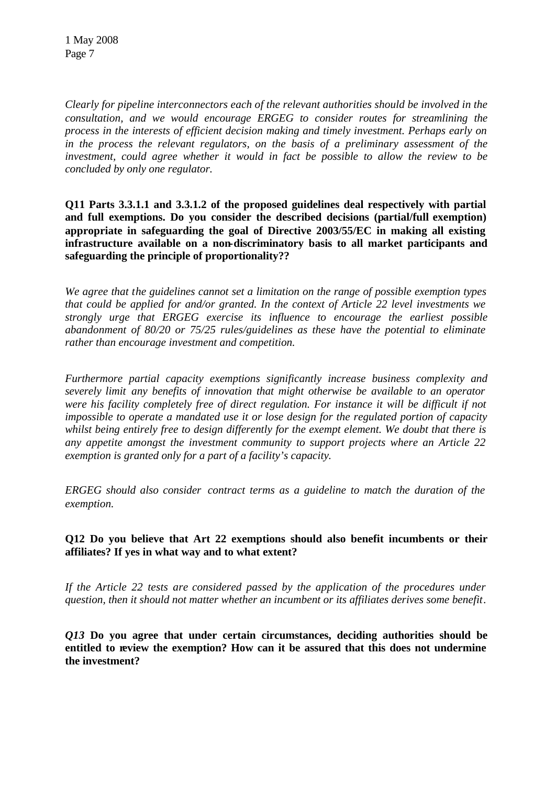1 May 2008 Page 7

*Clearly for pipeline interconnectors each of the relevant authorities should be involved in the consultation, and we would encourage ERGEG to consider routes for streamlining the process in the interests of efficient decision making and timely investment. Perhaps early on in the process the relevant regulators, on the basis of a preliminary assessment of the investment, could agree whether it would in fact be possible to allow the review to be concluded by only one regulator.*

**Q11 Parts 3.3.1.1 and 3.3.1.2 of the proposed guidelines deal respectively with partial and full exemptions. Do you consider the described decisions (partial/full exemption) appropriate in safeguarding the goal of Directive 2003/55/EC in making all existing infrastructure available on a non-discriminatory basis to all market participants and safeguarding the principle of proportionality??**

*We agree that the guidelines cannot set a limitation on the range of possible exemption types that could be applied for and/or granted. In the context of Article 22 level investments we strongly urge that ERGEG exercise its influence to encourage the earliest possible abandonment of 80/20 or 75/25 rules/guidelines as these have the potential to eliminate rather than encourage investment and competition.* 

*Furthermore partial capacity exemptions significantly increase business complexity and severely limit any benefits of innovation that might otherwise be available to an operator were his facility completely free of direct regulation. For instance it will be difficult if not impossible to operate a mandated use it or lose design for the regulated portion of capacity whilst being entirely free to design differently for the exempt element. We doubt that there is any appetite amongst the investment community to support projects where an Article 22 exemption is granted only for a part of a facility's capacity.*

*ERGEG should also consider contract terms as a guideline to match the duration of the exemption.*

#### **Q12 Do you believe that Art 22 exemptions should also benefit incumbents or their affiliates? If yes in what way and to what extent?**

*If the Article 22 tests are considered passed by the application of the procedures under question, then it should not matter whether an incumbent or its affiliates derives some benefit*.

*Q13* **Do you agree that under certain circumstances, deciding authorities should be entitled to review the exemption? How can it be assured that this does not undermine the investment?**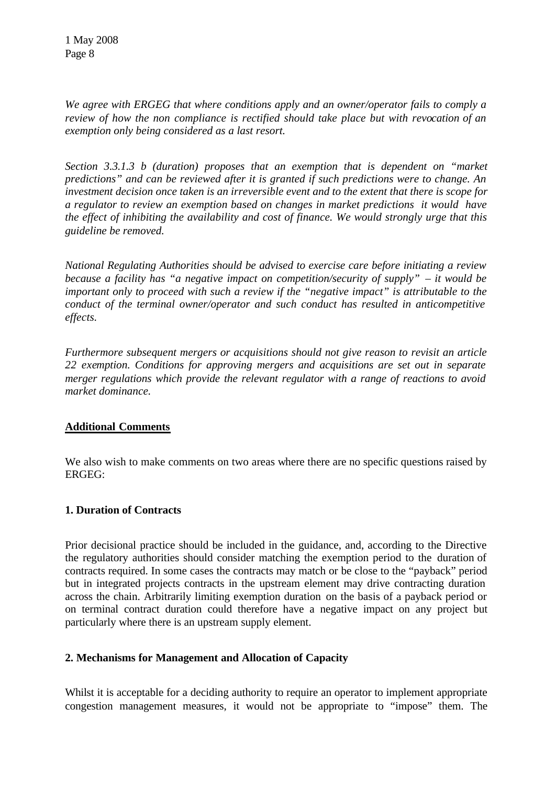*We agree with ERGEG that where conditions apply and an owner/operator fails to comply a review of how the non compliance is rectified should take place but with revocation of an exemption only being considered as a last resort.*

*Section 3.3.1.3 b (duration) proposes that an exemption that is dependent on "market predictions" and can be reviewed after it is granted if such predictions were to change. An investment decision once taken is an irreversible event and to the extent that there is scope for a regulator to review an exemption based on changes in market predictions it would have the effect of inhibiting the availability and cost of finance. We would strongly urge that this guideline be removed.* 

*National Regulating Authorities should be advised to exercise care before initiating a review because a facility has "a negative impact on competition/security of supply" – it would be important only to proceed with such a review if the "negative impact" is attributable to the conduct of the terminal owner/operator and such conduct has resulted in anticompetitive effects.* 

*Furthermore subsequent mergers or acquisitions should not give reason to revisit an article 22 exemption. Conditions for approving mergers and acquisitions are set out in separate merger regulations which provide the relevant regulator with a range of reactions to avoid market dominance.* 

# **Additional Comments**

We also wish to make comments on two areas where there are no specific questions raised by ERGEG:

#### **1. Duration of Contracts**

Prior decisional practice should be included in the guidance, and, according to the Directive the regulatory authorities should consider matching the exemption period to the duration of contracts required. In some cases the contracts may match or be close to the "payback" period but in integrated projects contracts in the upstream element may drive contracting duration across the chain. Arbitrarily limiting exemption duration on the basis of a payback period or on terminal contract duration could therefore have a negative impact on any project but particularly where there is an upstream supply element.

#### **2. Mechanisms for Management and Allocation of Capacity**

Whilst it is acceptable for a deciding authority to require an operator to implement appropriate congestion management measures, it would not be appropriate to "impose" them. The